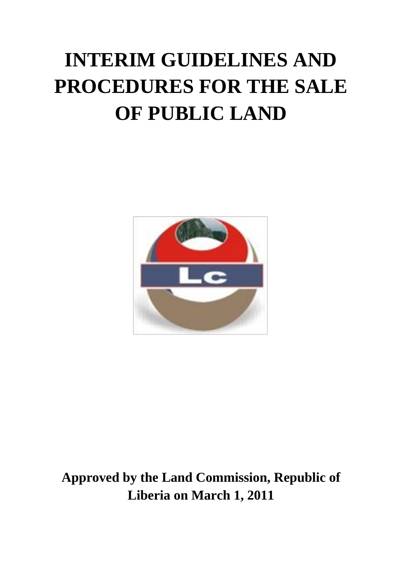# **INTERIM GUIDELINES AND PROCEDURES FOR THE SALE OF PUBLIC LAND**



**Approved by the Land Commission, Republic of Liberia on March 1, 2011**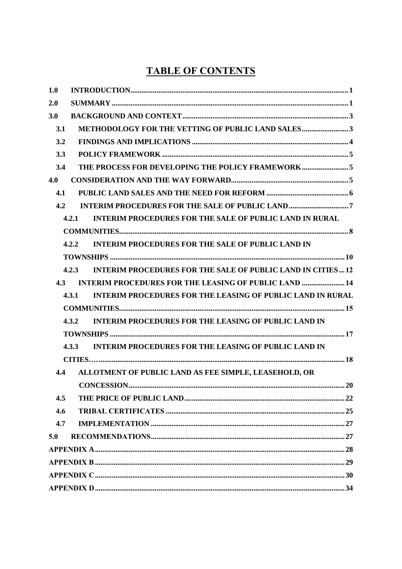# **TABLE OF CONTENTS**

| 1.0 |                                                                             |  |
|-----|-----------------------------------------------------------------------------|--|
| 2.0 |                                                                             |  |
| 3.0 |                                                                             |  |
| 3.1 | <b>METHODOLOGY FOR THE VETTING OF PUBLIC LAND SALES3</b>                    |  |
| 3.2 |                                                                             |  |
| 3.3 |                                                                             |  |
| 3.4 | THE PROCESS FOR DEVELOPING THE POLICY FRAMEWORK5                            |  |
| 4.0 |                                                                             |  |
| 4.1 |                                                                             |  |
| 4.2 |                                                                             |  |
|     | <b>INTERIM PROCEDURES FOR THE SALE OF PUBLIC LAND IN RURAL</b><br>4.2.1     |  |
|     |                                                                             |  |
|     | <b>INTERIM PROCEDURES FOR THE SALE OF PUBLIC LAND IN</b><br>4.2.2           |  |
|     |                                                                             |  |
|     | <b>INTERIM PROCEDURES FOR THE SALE OF PUBLIC LAND IN CITIES 12</b><br>4.2.3 |  |
| 4.3 | <b>INTERIM PROCEDURES FOR THE LEASING OF PUBLIC LAND  14</b>                |  |
|     | <b>INTERIM PROCEDURES FOR THE LEASING OF PUBLIC LAND IN RURAL</b><br>4.3.1  |  |
|     |                                                                             |  |
|     | <b>INTERIM PROCEDURES FOR THE LEASING OF PUBLIC LAND IN</b><br>4.3.2        |  |
|     |                                                                             |  |
|     | <b>INTERIM PROCEDURES FOR THE LEASING OF PUBLIC LAND IN</b><br>4.3.3        |  |
|     |                                                                             |  |
| 4.4 | ALLOTMENT OF PUBLIC LAND AS FEE SIMPLE, LEASEHOLD, OR                       |  |
|     |                                                                             |  |
| 4.5 |                                                                             |  |
| 4.6 |                                                                             |  |
| 4.7 |                                                                             |  |
| 5.0 |                                                                             |  |
|     |                                                                             |  |
|     |                                                                             |  |
|     |                                                                             |  |
|     |                                                                             |  |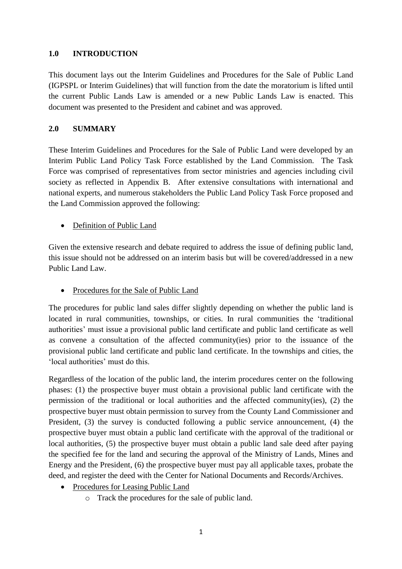#### **1.0 INTRODUCTION**

This document lays out the Interim Guidelines and Procedures for the Sale of Public Land (IGPSPL or Interim Guidelines) that will function from the date the moratorium is lifted until the current Public Lands Law is amended or a new Public Lands Law is enacted. This document was presented to the President and cabinet and was approved.

#### <span id="page-2-0"></span>**2.0 SUMMARY**

These Interim Guidelines and Procedures for the Sale of Public Land were developed by an Interim Public Land Policy Task Force established by the Land Commission. The Task Force was comprised of representatives from sector ministries and agencies including civil society as reflected in Appendix B. After extensive consultations with international and national experts, and numerous stakeholders the Public Land Policy Task Force proposed and the Land Commission approved the following:

#### Definition of Public Land

Given the extensive research and debate required to address the issue of defining public land, this issue should not be addressed on an interim basis but will be covered/addressed in a new Public Land Law.

• Procedures for the Sale of Public Land

The procedures for public land sales differ slightly depending on whether the public land is located in rural communities, townships, or cities. In rural communities the "traditional authorities' must issue a provisional public land certificate and public land certificate as well as convene a consultation of the affected community(ies) prior to the issuance of the provisional public land certificate and public land certificate. In the townships and cities, the 'local authorities' must do this.

Regardless of the location of the public land, the interim procedures center on the following phases: (1) the prospective buyer must obtain a provisional public land certificate with the permission of the traditional or local authorities and the affected community(ies), (2) the prospective buyer must obtain permission to survey from the County Land Commissioner and President, (3) the survey is conducted following a public service announcement, (4) the prospective buyer must obtain a public land certificate with the approval of the traditional or local authorities, (5) the prospective buyer must obtain a public land sale deed after paying the specified fee for the land and securing the approval of the Ministry of Lands, Mines and Energy and the President, (6) the prospective buyer must pay all applicable taxes, probate the deed, and register the deed with the Center for National Documents and Records/Archives.

- Procedures for Leasing Public Land
	- o Track the procedures for the sale of public land.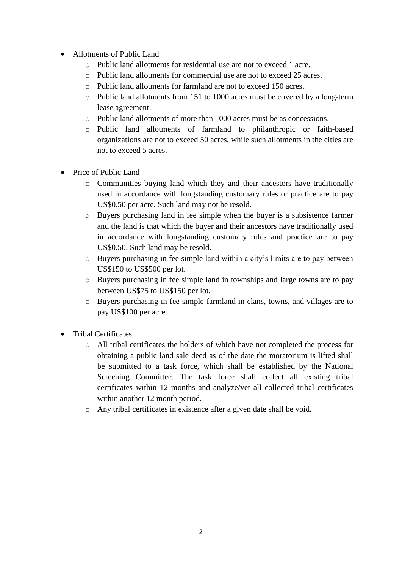- Allotments of Public Land
	- o Public land allotments for residential use are not to exceed 1 acre.
	- o Public land allotments for commercial use are not to exceed 25 acres.
	- o Public land allotments for farmland are not to exceed 150 acres.
	- o Public land allotments from 151 to 1000 acres must be covered by a long-term lease agreement.
	- o Public land allotments of more than 1000 acres must be as concessions.
	- o Public land allotments of farmland to philanthropic or faith-based organizations are not to exceed 50 acres, while such allotments in the cities are not to exceed 5 acres.
- Price of Public Land
	- o Communities buying land which they and their ancestors have traditionally used in accordance with longstanding customary rules or practice are to pay US\$0.50 per acre. Such land may not be resold.
	- o Buyers purchasing land in fee simple when the buyer is a subsistence farmer and the land is that which the buyer and their ancestors have traditionally used in accordance with longstanding customary rules and practice are to pay US\$0.50. Such land may be resold.
	- o Buyers purchasing in fee simple land within a city"s limits are to pay between US\$150 to US\$500 per lot.
	- o Buyers purchasing in fee simple land in townships and large towns are to pay between US\$75 to US\$150 per lot.
	- o Buyers purchasing in fee simple farmland in clans, towns, and villages are to pay US\$100 per acre.
- Tribal Certificates
	- o All tribal certificates the holders of which have not completed the process for obtaining a public land sale deed as of the date the moratorium is lifted shall be submitted to a task force, which shall be established by the National Screening Committee. The task force shall collect all existing tribal certificates within 12 months and analyze/vet all collected tribal certificates within another 12 month period.
	- o Any tribal certificates in existence after a given date shall be void.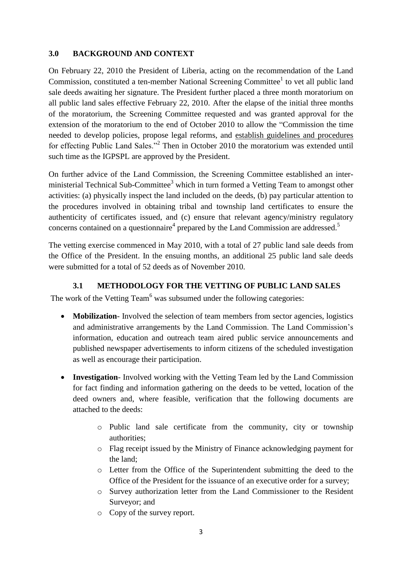#### <span id="page-4-0"></span>**3.0 BACKGROUND AND CONTEXT**

On February 22, 2010 the President of Liberia, acting on the recommendation of the Land Commission, constituted a ten-member National Screening Committee<sup>1</sup> to vet all public land sale deeds awaiting her signature. The President further placed a three month moratorium on all public land sales effective February 22, 2010. After the elapse of the initial three months of the moratorium, the Screening Committee requested and was granted approval for the extension of the moratorium to the end of October 2010 to allow the "Commission the time needed to develop policies, propose legal reforms, and establish guidelines and procedures for effecting Public Land Sales."<sup>2</sup> Then in October 2010 the moratorium was extended until such time as the IGPSPL are approved by the President.

On further advice of the Land Commission, the Screening Committee established an interministerial Technical Sub-Committee<sup>3</sup> which in turn formed a Vetting Team to amongst other activities: (a) physically inspect the land included on the deeds, (b) pay particular attention to the procedures involved in obtaining tribal and township land certificates to ensure the authenticity of certificates issued, and (c) ensure that relevant agency/ministry regulatory concerns contained on a questionnaire<sup>4</sup> prepared by the Land Commission are addressed.<sup>5</sup>

The vetting exercise commenced in May 2010, with a total of 27 public land sale deeds from the Office of the President. In the ensuing months, an additional 25 public land sale deeds were submitted for a total of 52 deeds as of November 2010.

#### **3.1 METHODOLOGY FOR THE VETTING OF PUBLIC LAND SALES**

<span id="page-4-1"></span>The work of the Vetting Team<sup>6</sup> was subsumed under the following categories:

- **Mobilization** Involved the selection of team members from sector agencies, logistics and administrative arrangements by the Land Commission. The Land Commission"s information, education and outreach team aired public service announcements and published newspaper advertisements to inform citizens of the scheduled investigation as well as encourage their participation.
- **Investigation** Involved working with the Vetting Team led by the Land Commission for fact finding and information gathering on the deeds to be vetted, location of the deed owners and, where feasible, verification that the following documents are attached to the deeds:
	- o Public land sale certificate from the community, city or township authorities;
	- o Flag receipt issued by the Ministry of Finance acknowledging payment for the land;
	- o Letter from the Office of the Superintendent submitting the deed to the Office of the President for the issuance of an executive order for a survey;
	- o Survey authorization letter from the Land Commissioner to the Resident Surveyor; and
	- o Copy of the survey report.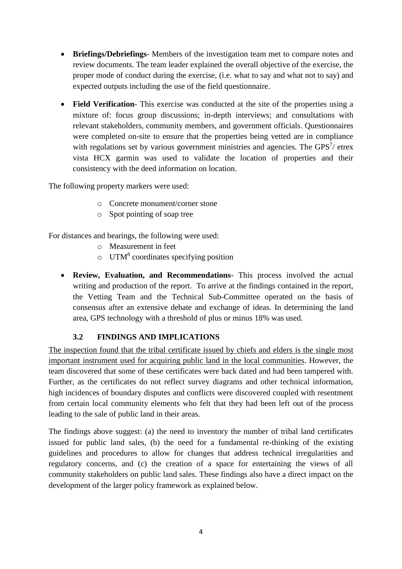- **Briefings/Debriefings** Members of the investigation team met to compare notes and review documents. The team leader explained the overall objective of the exercise, the proper mode of conduct during the exercise, (i.e. what to say and what not to say) and expected outputs including the use of the field questionnaire.
- **Field Verification** This exercise was conducted at the site of the properties using a mixture of: focus group discussions; in-depth interviews; and consultations with relevant stakeholders, community members, and government officials. Questionnaires were completed on-site to ensure that the properties being vetted are in compliance with regulations set by various government ministries and agencies. The GPS $<sup>7</sup>$  etrex</sup> vista HCX garmin was used to validate the location of properties and their consistency with the deed information on location.

The following property markers were used:

- o Concrete monument/corner stone
- o Spot pointing of soap tree

For distances and bearings, the following were used:

- o Measurement in feet
- $\circ$  UTM<sup>8</sup> coordinates specifying position
- **Review, Evaluation, and Recommendations** This process involved the actual writing and production of the report. To arrive at the findings contained in the report, the Vetting Team and the Technical Sub-Committee operated on the basis of consensus after an extensive debate and exchange of ideas. In determining the land area, GPS technology with a threshold of plus or minus 18% was used.

#### <span id="page-5-0"></span>**3.2 FINDINGS AND IMPLICATIONS**

The inspection found that the tribal certificate issued by chiefs and elders is the single most important instrument used for acquiring public land in the local communities. However, the team discovered that some of these certificates were back dated and had been tampered with. Further, as the certificates do not reflect survey diagrams and other technical information, high incidences of boundary disputes and conflicts were discovered coupled with resentment from certain local community elements who felt that they had been left out of the process leading to the sale of public land in their areas.

The findings above suggest: (a) the need to inventory the number of tribal land certificates issued for public land sales, (b) the need for a fundamental re-thinking of the existing guidelines and procedures to allow for changes that address technical irregularities and regulatory concerns, and (c) the creation of a space for entertaining the views of all community stakeholders on public land sales. These findings also have a direct impact on the development of the larger policy framework as explained below.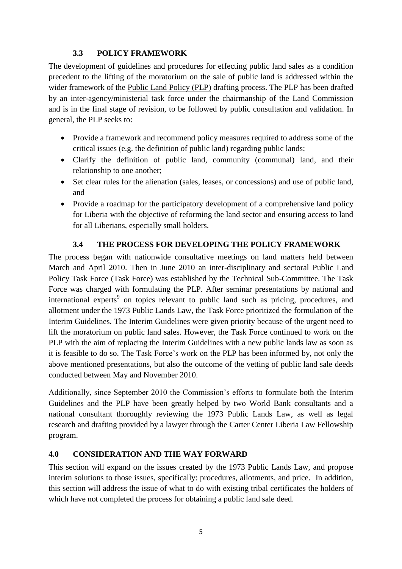#### <span id="page-6-0"></span>**3.3 POLICY FRAMEWORK**

The development of guidelines and procedures for effecting public land sales as a condition precedent to the lifting of the moratorium on the sale of public land is addressed within the wider framework of the Public Land Policy (PLP) drafting process. The PLP has been drafted by an inter-agency/ministerial task force under the chairmanship of the Land Commission and is in the final stage of revision, to be followed by public consultation and validation. In general, the PLP seeks to:

- Provide a framework and recommend policy measures required to address some of the critical issues (e.g. the definition of public land) regarding public lands;
- Clarify the definition of public land, community (communal) land, and their relationship to one another;
- Set clear rules for the alienation (sales, leases, or concessions) and use of public land, and
- Provide a roadmap for the participatory development of a comprehensive land policy for Liberia with the objective of reforming the land sector and ensuring access to land for all Liberians, especially small holders.

#### <span id="page-6-1"></span>**3.4 THE PROCESS FOR DEVELOPING THE POLICY FRAMEWORK**

The process began with nationwide consultative meetings on land matters held between March and April 2010. Then in June 2010 an inter-disciplinary and sectoral Public Land Policy Task Force (Task Force) was established by the Technical Sub-Committee. The Task Force was charged with formulating the PLP. After seminar presentations by national and international experts<sup>9</sup> on topics relevant to public land such as pricing, procedures, and allotment under the 1973 Public Lands Law, the Task Force prioritized the formulation of the Interim Guidelines. The Interim Guidelines were given priority because of the urgent need to lift the moratorium on public land sales. However, the Task Force continued to work on the PLP with the aim of replacing the Interim Guidelines with a new public lands law as soon as it is feasible to do so. The Task Force"s work on the PLP has been informed by, not only the above mentioned presentations, but also the outcome of the vetting of public land sale deeds conducted between May and November 2010.

Additionally, since September 2010 the Commission"s efforts to formulate both the Interim Guidelines and the PLP have been greatly helped by two World Bank consultants and a national consultant thoroughly reviewing the 1973 Public Lands Law, as well as legal research and drafting provided by a lawyer through the Carter Center Liberia Law Fellowship program.

#### <span id="page-6-2"></span>**4.0 CONSIDERATION AND THE WAY FORWARD**

This section will expand on the issues created by the 1973 Public Lands Law, and propose interim solutions to those issues, specifically: procedures, allotments, and price. In addition, this section will address the issue of what to do with existing tribal certificates the holders of which have not completed the process for obtaining a public land sale deed.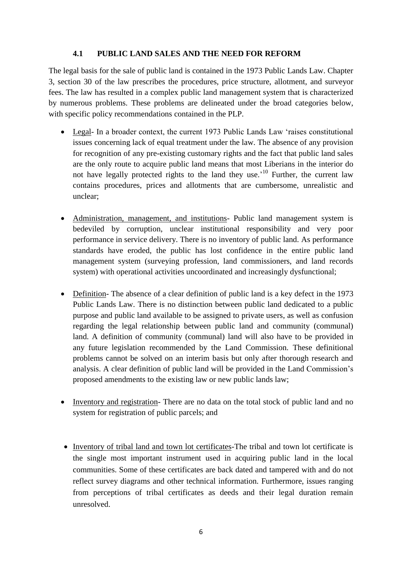#### **4.1 PUBLIC LAND SALES AND THE NEED FOR REFORM**

<span id="page-7-0"></span>The legal basis for the sale of public land is contained in the 1973 Public Lands Law. Chapter 3, section 30 of the law prescribes the procedures, price structure, allotment, and surveyor fees. The law has resulted in a complex public land management system that is characterized by numerous problems. These problems are delineated under the broad categories below, with specific policy recommendations contained in the PLP.

- Legal- In a broader context, the current 1973 Public Lands Law 'raises constitutional issues concerning lack of equal treatment under the law. The absence of any provision for recognition of any pre-existing customary rights and the fact that public land sales are the only route to acquire public land means that most Liberians in the interior do not have legally protected rights to the land they use.<sup>10</sup> Further, the current law contains procedures, prices and allotments that are cumbersome, unrealistic and unclear;
- Administration, management, and institutions- Public land management system is bedeviled by corruption, unclear institutional responsibility and very poor performance in service delivery. There is no inventory of public land. As performance standards have eroded, the public has lost confidence in the entire public land management system (surveying profession, land commissioners, and land records system) with operational activities uncoordinated and increasingly dysfunctional;
- Definition- The absence of a clear definition of public land is a key defect in the 1973 Public Lands Law. There is no distinction between public land dedicated to a public purpose and public land available to be assigned to private users, as well as confusion regarding the legal relationship between public land and community (communal) land. A definition of community (communal) land will also have to be provided in any future legislation recommended by the Land Commission. These definitional problems cannot be solved on an interim basis but only after thorough research and analysis. A clear definition of public land will be provided in the Land Commission"s proposed amendments to the existing law or new public lands law;
- Inventory and registration- There are no data on the total stock of public land and no system for registration of public parcels; and
- Inventory of tribal land and town lot certificates-The tribal and town lot certificate is the single most important instrument used in acquiring public land in the local communities. Some of these certificates are back dated and tampered with and do not reflect survey diagrams and other technical information. Furthermore, issues ranging from perceptions of tribal certificates as deeds and their legal duration remain unresolved.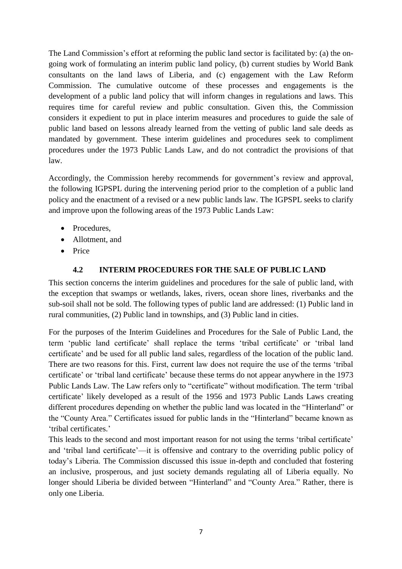The Land Commission's effort at reforming the public land sector is facilitated by: (a) the ongoing work of formulating an interim public land policy, (b) current studies by World Bank consultants on the land laws of Liberia, and (c) engagement with the Law Reform Commission. The cumulative outcome of these processes and engagements is the development of a public land policy that will inform changes in regulations and laws. This requires time for careful review and public consultation. Given this, the Commission considers it expedient to put in place interim measures and procedures to guide the sale of public land based on lessons already learned from the vetting of public land sale deeds as mandated by government. These interim guidelines and procedures seek to compliment procedures under the 1973 Public Lands Law, and do not contradict the provisions of that law.

Accordingly, the Commission hereby recommends for government's review and approval, the following IGPSPL during the intervening period prior to the completion of a public land policy and the enactment of a revised or a new public lands law. The IGPSPL seeks to clarify and improve upon the following areas of the 1973 Public Lands Law:

- Procedures.
- Allotment, and
- Price

#### **4.2 INTERIM PROCEDURES FOR THE SALE OF PUBLIC LAND**

<span id="page-8-0"></span>This section concerns the interim guidelines and procedures for the sale of public land, with the exception that swamps or wetlands, lakes, rivers, ocean shore lines, riverbanks and the sub-soil shall not be sold. The following types of public land are addressed: (1) Public land in rural communities, (2) Public land in townships, and (3) Public land in cities.

For the purposes of the Interim Guidelines and Procedures for the Sale of Public Land, the term "public land certificate" shall replace the terms "tribal certificate" or "tribal land certificate" and be used for all public land sales, regardless of the location of the public land. There are two reasons for this. First, current law does not require the use of the terms "tribal certificate' or 'tribal land certificate' because these terms do not appear anywhere in the 1973 Public Lands Law. The Law refers only to "certificate" without modification. The term 'tribal certificate" likely developed as a result of the 1956 and 1973 Public Lands Laws creating different procedures depending on whether the public land was located in the "Hinterland" or the "County Area." Certificates issued for public lands in the "Hinterland" became known as 'tribal certificates.'

This leads to the second and most important reason for not using the terms 'tribal certificate' and 'tribal land certificate'—it is offensive and contrary to the overriding public policy of today"s Liberia. The Commission discussed this issue in-depth and concluded that fostering an inclusive, prosperous, and just society demands regulating all of Liberia equally. No longer should Liberia be divided between "Hinterland" and "County Area." Rather, there is only one Liberia.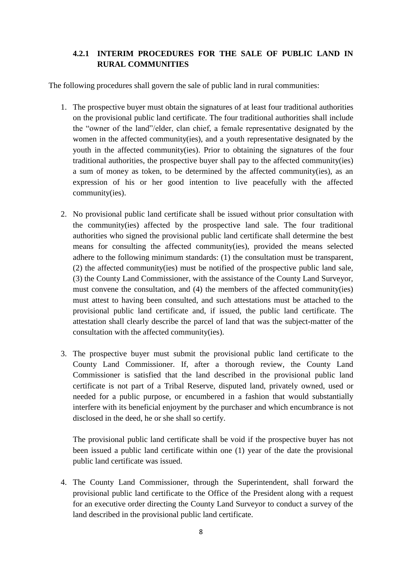#### <span id="page-9-0"></span>**4.2.1 INTERIM PROCEDURES FOR THE SALE OF PUBLIC LAND IN RURAL COMMUNITIES**

The following procedures shall govern the sale of public land in rural communities:

- 1. The prospective buyer must obtain the signatures of at least four traditional authorities on the provisional public land certificate. The four traditional authorities shall include the "owner of the land"/elder, clan chief, a female representative designated by the women in the affected community(ies), and a youth representative designated by the youth in the affected community(ies). Prior to obtaining the signatures of the four traditional authorities, the prospective buyer shall pay to the affected community(ies) a sum of money as token, to be determined by the affected community(ies), as an expression of his or her good intention to live peacefully with the affected community(ies).
- 2. No provisional public land certificate shall be issued without prior consultation with the community(ies) affected by the prospective land sale. The four traditional authorities who signed the provisional public land certificate shall determine the best means for consulting the affected community(ies), provided the means selected adhere to the following minimum standards: (1) the consultation must be transparent, (2) the affected community(ies) must be notified of the prospective public land sale, (3) the County Land Commissioner, with the assistance of the County Land Surveyor, must convene the consultation, and (4) the members of the affected community(ies) must attest to having been consulted, and such attestations must be attached to the provisional public land certificate and, if issued, the public land certificate. The attestation shall clearly describe the parcel of land that was the subject-matter of the consultation with the affected community(ies).
- 3. The prospective buyer must submit the provisional public land certificate to the County Land Commissioner. If, after a thorough review, the County Land Commissioner is satisfied that the land described in the provisional public land certificate is not part of a Tribal Reserve, disputed land, privately owned, used or needed for a public purpose, or encumbered in a fashion that would substantially interfere with its beneficial enjoyment by the purchaser and which encumbrance is not disclosed in the deed, he or she shall so certify.

The provisional public land certificate shall be void if the prospective buyer has not been issued a public land certificate within one (1) year of the date the provisional public land certificate was issued.

4. The County Land Commissioner, through the Superintendent, shall forward the provisional public land certificate to the Office of the President along with a request for an executive order directing the County Land Surveyor to conduct a survey of the land described in the provisional public land certificate.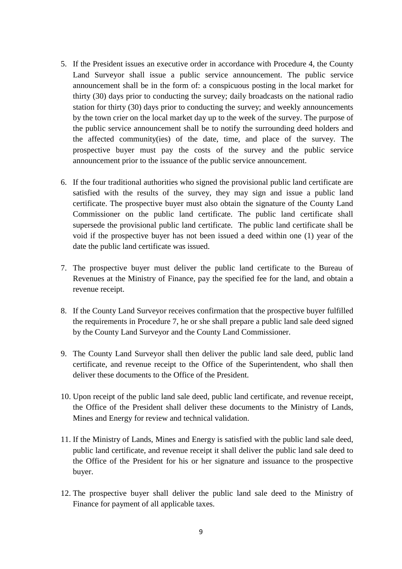- 5. If the President issues an executive order in accordance with Procedure 4, the County Land Surveyor shall issue a public service announcement. The public service announcement shall be in the form of: a conspicuous posting in the local market for thirty (30) days prior to conducting the survey; daily broadcasts on the national radio station for thirty (30) days prior to conducting the survey; and weekly announcements by the town crier on the local market day up to the week of the survey. The purpose of the public service announcement shall be to notify the surrounding deed holders and the affected community(ies) of the date, time, and place of the survey. The prospective buyer must pay the costs of the survey and the public service announcement prior to the issuance of the public service announcement.
- 6. If the four traditional authorities who signed the provisional public land certificate are satisfied with the results of the survey, they may sign and issue a public land certificate. The prospective buyer must also obtain the signature of the County Land Commissioner on the public land certificate. The public land certificate shall supersede the provisional public land certificate. The public land certificate shall be void if the prospective buyer has not been issued a deed within one (1) year of the date the public land certificate was issued.
- 7. The prospective buyer must deliver the public land certificate to the Bureau of Revenues at the Ministry of Finance, pay the specified fee for the land, and obtain a revenue receipt.
- 8. If the County Land Surveyor receives confirmation that the prospective buyer fulfilled the requirements in Procedure 7, he or she shall prepare a public land sale deed signed by the County Land Surveyor and the County Land Commissioner.
- 9. The County Land Surveyor shall then deliver the public land sale deed, public land certificate, and revenue receipt to the Office of the Superintendent, who shall then deliver these documents to the Office of the President.
- 10. Upon receipt of the public land sale deed, public land certificate, and revenue receipt, the Office of the President shall deliver these documents to the Ministry of Lands, Mines and Energy for review and technical validation.
- 11. If the Ministry of Lands, Mines and Energy is satisfied with the public land sale deed, public land certificate, and revenue receipt it shall deliver the public land sale deed to the Office of the President for his or her signature and issuance to the prospective buyer.
- 12. The prospective buyer shall deliver the public land sale deed to the Ministry of Finance for payment of all applicable taxes.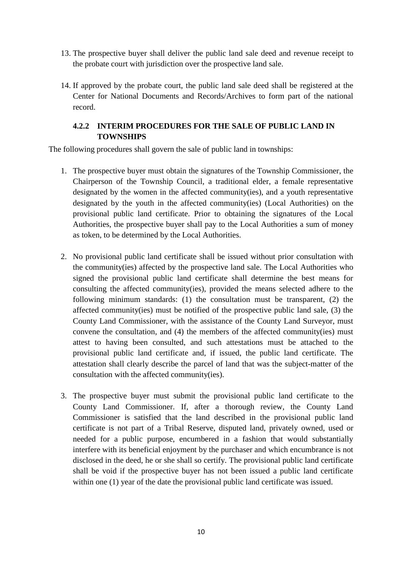- 13. The prospective buyer shall deliver the public land sale deed and revenue receipt to the probate court with jurisdiction over the prospective land sale.
- 14. If approved by the probate court, the public land sale deed shall be registered at the Center for National Documents and Records/Archives to form part of the national record.

#### **4.2.2 INTERIM PROCEDURES FOR THE SALE OF PUBLIC LAND IN TOWNSHIPS**

<span id="page-11-0"></span>The following procedures shall govern the sale of public land in townships:

- 1. The prospective buyer must obtain the signatures of the Township Commissioner, the Chairperson of the Township Council, a traditional elder, a female representative designated by the women in the affected community(ies), and a youth representative designated by the youth in the affected community(ies) (Local Authorities) on the provisional public land certificate. Prior to obtaining the signatures of the Local Authorities, the prospective buyer shall pay to the Local Authorities a sum of money as token, to be determined by the Local Authorities.
- 2. No provisional public land certificate shall be issued without prior consultation with the community(ies) affected by the prospective land sale. The Local Authorities who signed the provisional public land certificate shall determine the best means for consulting the affected community(ies), provided the means selected adhere to the following minimum standards: (1) the consultation must be transparent, (2) the affected community(ies) must be notified of the prospective public land sale, (3) the County Land Commissioner, with the assistance of the County Land Surveyor, must convene the consultation, and (4) the members of the affected community(ies) must attest to having been consulted, and such attestations must be attached to the provisional public land certificate and, if issued, the public land certificate. The attestation shall clearly describe the parcel of land that was the subject-matter of the consultation with the affected community(ies).
- 3. The prospective buyer must submit the provisional public land certificate to the County Land Commissioner. If, after a thorough review, the County Land Commissioner is satisfied that the land described in the provisional public land certificate is not part of a Tribal Reserve, disputed land, privately owned, used or needed for a public purpose, encumbered in a fashion that would substantially interfere with its beneficial enjoyment by the purchaser and which encumbrance is not disclosed in the deed, he or she shall so certify. The provisional public land certificate shall be void if the prospective buyer has not been issued a public land certificate within one (1) year of the date the provisional public land certificate was issued.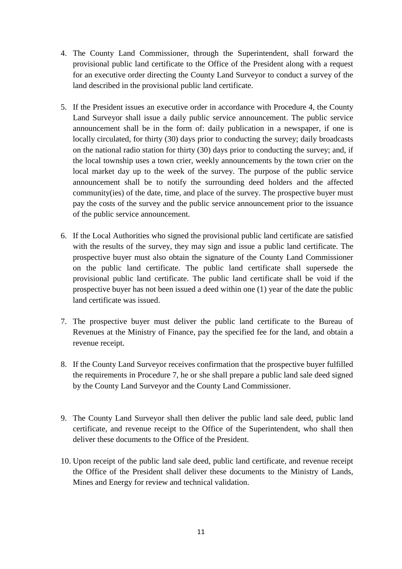- 4. The County Land Commissioner, through the Superintendent, shall forward the provisional public land certificate to the Office of the President along with a request for an executive order directing the County Land Surveyor to conduct a survey of the land described in the provisional public land certificate.
- 5. If the President issues an executive order in accordance with Procedure 4, the County Land Surveyor shall issue a daily public service announcement. The public service announcement shall be in the form of: daily publication in a newspaper, if one is locally circulated, for thirty (30) days prior to conducting the survey; daily broadcasts on the national radio station for thirty (30) days prior to conducting the survey; and, if the local township uses a town crier, weekly announcements by the town crier on the local market day up to the week of the survey. The purpose of the public service announcement shall be to notify the surrounding deed holders and the affected community(ies) of the date, time, and place of the survey. The prospective buyer must pay the costs of the survey and the public service announcement prior to the issuance of the public service announcement.
- 6. If the Local Authorities who signed the provisional public land certificate are satisfied with the results of the survey, they may sign and issue a public land certificate. The prospective buyer must also obtain the signature of the County Land Commissioner on the public land certificate. The public land certificate shall supersede the provisional public land certificate. The public land certificate shall be void if the prospective buyer has not been issued a deed within one (1) year of the date the public land certificate was issued.
- 7. The prospective buyer must deliver the public land certificate to the Bureau of Revenues at the Ministry of Finance, pay the specified fee for the land, and obtain a revenue receipt.
- 8. If the County Land Surveyor receives confirmation that the prospective buyer fulfilled the requirements in Procedure 7, he or she shall prepare a public land sale deed signed by the County Land Surveyor and the County Land Commissioner.
- 9. The County Land Surveyor shall then deliver the public land sale deed, public land certificate, and revenue receipt to the Office of the Superintendent, who shall then deliver these documents to the Office of the President.
- 10. Upon receipt of the public land sale deed, public land certificate, and revenue receipt the Office of the President shall deliver these documents to the Ministry of Lands, Mines and Energy for review and technical validation.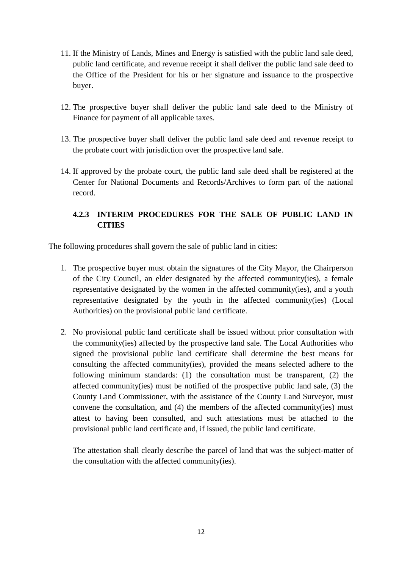- 11. If the Ministry of Lands, Mines and Energy is satisfied with the public land sale deed, public land certificate, and revenue receipt it shall deliver the public land sale deed to the Office of the President for his or her signature and issuance to the prospective buyer.
- 12. The prospective buyer shall deliver the public land sale deed to the Ministry of Finance for payment of all applicable taxes.
- 13. The prospective buyer shall deliver the public land sale deed and revenue receipt to the probate court with jurisdiction over the prospective land sale.
- 14. If approved by the probate court, the public land sale deed shall be registered at the Center for National Documents and Records/Archives to form part of the national record.

#### <span id="page-13-0"></span>**4.2.3 INTERIM PROCEDURES FOR THE SALE OF PUBLIC LAND IN CITIES**

The following procedures shall govern the sale of public land in cities:

- 1. The prospective buyer must obtain the signatures of the City Mayor, the Chairperson of the City Council, an elder designated by the affected community(ies), a female representative designated by the women in the affected community(ies), and a youth representative designated by the youth in the affected community(ies) (Local Authorities) on the provisional public land certificate.
- 2. No provisional public land certificate shall be issued without prior consultation with the community(ies) affected by the prospective land sale. The Local Authorities who signed the provisional public land certificate shall determine the best means for consulting the affected community(ies), provided the means selected adhere to the following minimum standards: (1) the consultation must be transparent, (2) the affected community(ies) must be notified of the prospective public land sale, (3) the County Land Commissioner, with the assistance of the County Land Surveyor, must convene the consultation, and (4) the members of the affected community(ies) must attest to having been consulted, and such attestations must be attached to the provisional public land certificate and, if issued, the public land certificate.

The attestation shall clearly describe the parcel of land that was the subject-matter of the consultation with the affected community(ies).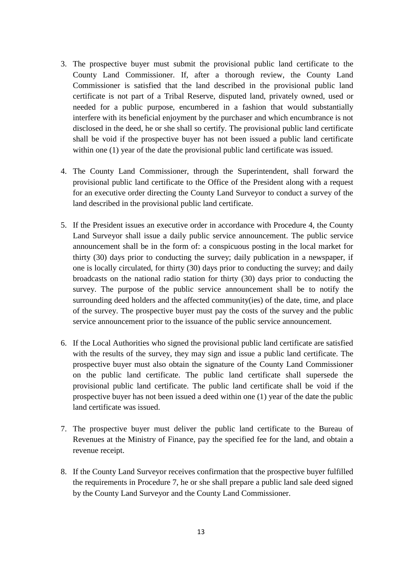- 3. The prospective buyer must submit the provisional public land certificate to the County Land Commissioner. If, after a thorough review, the County Land Commissioner is satisfied that the land described in the provisional public land certificate is not part of a Tribal Reserve, disputed land, privately owned, used or needed for a public purpose, encumbered in a fashion that would substantially interfere with its beneficial enjoyment by the purchaser and which encumbrance is not disclosed in the deed, he or she shall so certify. The provisional public land certificate shall be void if the prospective buyer has not been issued a public land certificate within one (1) year of the date the provisional public land certificate was issued.
- 4. The County Land Commissioner, through the Superintendent, shall forward the provisional public land certificate to the Office of the President along with a request for an executive order directing the County Land Surveyor to conduct a survey of the land described in the provisional public land certificate.
- 5. If the President issues an executive order in accordance with Procedure 4, the County Land Surveyor shall issue a daily public service announcement. The public service announcement shall be in the form of: a conspicuous posting in the local market for thirty (30) days prior to conducting the survey; daily publication in a newspaper, if one is locally circulated, for thirty (30) days prior to conducting the survey; and daily broadcasts on the national radio station for thirty (30) days prior to conducting the survey. The purpose of the public service announcement shall be to notify the surrounding deed holders and the affected community(ies) of the date, time, and place of the survey. The prospective buyer must pay the costs of the survey and the public service announcement prior to the issuance of the public service announcement.
- 6. If the Local Authorities who signed the provisional public land certificate are satisfied with the results of the survey, they may sign and issue a public land certificate. The prospective buyer must also obtain the signature of the County Land Commissioner on the public land certificate. The public land certificate shall supersede the provisional public land certificate. The public land certificate shall be void if the prospective buyer has not been issued a deed within one (1) year of the date the public land certificate was issued.
- 7. The prospective buyer must deliver the public land certificate to the Bureau of Revenues at the Ministry of Finance, pay the specified fee for the land, and obtain a revenue receipt.
- 8. If the County Land Surveyor receives confirmation that the prospective buyer fulfilled the requirements in Procedure 7, he or she shall prepare a public land sale deed signed by the County Land Surveyor and the County Land Commissioner.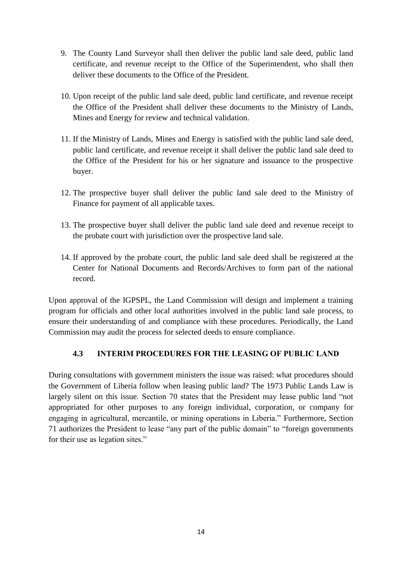- 9. The County Land Surveyor shall then deliver the public land sale deed, public land certificate, and revenue receipt to the Office of the Superintendent, who shall then deliver these documents to the Office of the President.
- 10. Upon receipt of the public land sale deed, public land certificate, and revenue receipt the Office of the President shall deliver these documents to the Ministry of Lands, Mines and Energy for review and technical validation.
- 11. If the Ministry of Lands, Mines and Energy is satisfied with the public land sale deed, public land certificate, and revenue receipt it shall deliver the public land sale deed to the Office of the President for his or her signature and issuance to the prospective buyer.
- 12. The prospective buyer shall deliver the public land sale deed to the Ministry of Finance for payment of all applicable taxes.
- 13. The prospective buyer shall deliver the public land sale deed and revenue receipt to the probate court with jurisdiction over the prospective land sale.
- 14. If approved by the probate court, the public land sale deed shall be registered at the Center for National Documents and Records/Archives to form part of the national record.

Upon approval of the IGPSPL, the Land Commission will design and implement a training program for officials and other local authorities involved in the public land sale process, to ensure their understanding of and compliance with these procedures. Periodically, the Land Commission may audit the process for selected deeds to ensure compliance.

#### **4.3 INTERIM PROCEDURES FOR THE LEASING OF PUBLIC LAND**

<span id="page-15-0"></span>During consultations with government ministers the issue was raised: what procedures should the Government of Liberia follow when leasing public land? The 1973 Public Lands Law is largely silent on this issue. Section 70 states that the President may lease public land "not appropriated for other purposes to any foreign individual, corporation, or company for engaging in agricultural, mercantile, or mining operations in Liberia." Furthermore, Section 71 authorizes the President to lease "any part of the public domain" to "foreign governments for their use as legation sites."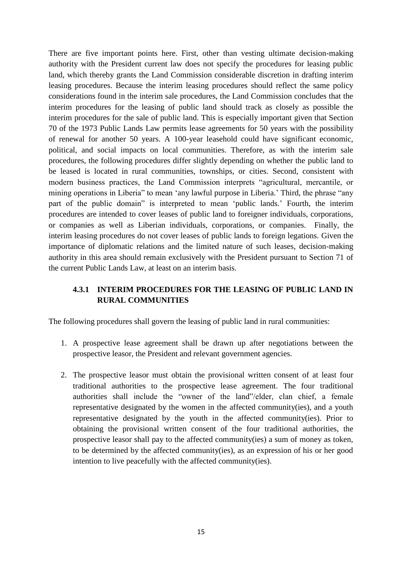There are five important points here. First, other than vesting ultimate decision-making authority with the President current law does not specify the procedures for leasing public land, which thereby grants the Land Commission considerable discretion in drafting interim leasing procedures. Because the interim leasing procedures should reflect the same policy considerations found in the interim sale procedures, the Land Commission concludes that the interim procedures for the leasing of public land should track as closely as possible the interim procedures for the sale of public land. This is especially important given that Section 70 of the 1973 Public Lands Law permits lease agreements for 50 years with the possibility of renewal for another 50 years. A 100-year leasehold could have significant economic, political, and social impacts on local communities. Therefore, as with the interim sale procedures, the following procedures differ slightly depending on whether the public land to be leased is located in rural communities, townships, or cities. Second, consistent with modern business practices, the Land Commission interprets "agricultural, mercantile, or mining operations in Liberia" to mean "any lawful purpose in Liberia." Third, the phrase "any part of the public domain" is interpreted to mean "public lands." Fourth, the interim procedures are intended to cover leases of public land to foreigner individuals, corporations, or companies as well as Liberian individuals, corporations, or companies. Finally, the interim leasing procedures do not cover leases of public lands to foreign legations. Given the importance of diplomatic relations and the limited nature of such leases, decision-making authority in this area should remain exclusively with the President pursuant to Section 71 of the current Public Lands Law, at least on an interim basis.

#### <span id="page-16-0"></span>**4.3.1 INTERIM PROCEDURES FOR THE LEASING OF PUBLIC LAND IN RURAL COMMUNITIES**

The following procedures shall govern the leasing of public land in rural communities:

- 1. A prospective lease agreement shall be drawn up after negotiations between the prospective leasor, the President and relevant government agencies.
- 2. The prospective leasor must obtain the provisional written consent of at least four traditional authorities to the prospective lease agreement. The four traditional authorities shall include the "owner of the land"/elder, clan chief, a female representative designated by the women in the affected community(ies), and a youth representative designated by the youth in the affected community(ies). Prior to obtaining the provisional written consent of the four traditional authorities, the prospective leasor shall pay to the affected community(ies) a sum of money as token, to be determined by the affected community(ies), as an expression of his or her good intention to live peacefully with the affected community(ies).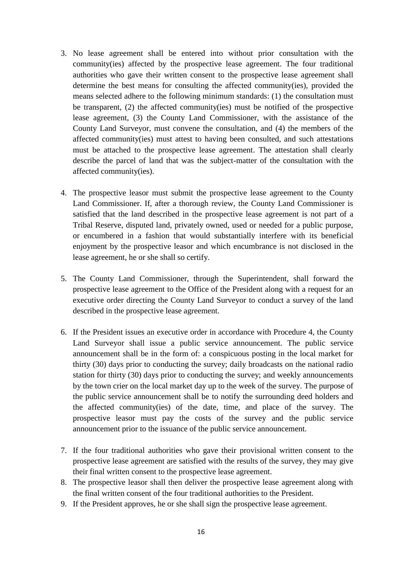- 3. No lease agreement shall be entered into without prior consultation with the community(ies) affected by the prospective lease agreement. The four traditional authorities who gave their written consent to the prospective lease agreement shall determine the best means for consulting the affected community(ies), provided the means selected adhere to the following minimum standards: (1) the consultation must be transparent, (2) the affected community(ies) must be notified of the prospective lease agreement, (3) the County Land Commissioner, with the assistance of the County Land Surveyor, must convene the consultation, and (4) the members of the affected community(ies) must attest to having been consulted, and such attestations must be attached to the prospective lease agreement. The attestation shall clearly describe the parcel of land that was the subject-matter of the consultation with the affected community(ies).
- 4. The prospective leasor must submit the prospective lease agreement to the County Land Commissioner. If, after a thorough review, the County Land Commissioner is satisfied that the land described in the prospective lease agreement is not part of a Tribal Reserve, disputed land, privately owned, used or needed for a public purpose, or encumbered in a fashion that would substantially interfere with its beneficial enjoyment by the prospective leasor and which encumbrance is not disclosed in the lease agreement, he or she shall so certify.
- 5. The County Land Commissioner, through the Superintendent, shall forward the prospective lease agreement to the Office of the President along with a request for an executive order directing the County Land Surveyor to conduct a survey of the land described in the prospective lease agreement.
- 6. If the President issues an executive order in accordance with Procedure 4, the County Land Surveyor shall issue a public service announcement. The public service announcement shall be in the form of: a conspicuous posting in the local market for thirty (30) days prior to conducting the survey; daily broadcasts on the national radio station for thirty (30) days prior to conducting the survey; and weekly announcements by the town crier on the local market day up to the week of the survey. The purpose of the public service announcement shall be to notify the surrounding deed holders and the affected community(ies) of the date, time, and place of the survey. The prospective leasor must pay the costs of the survey and the public service announcement prior to the issuance of the public service announcement.
- 7. If the four traditional authorities who gave their provisional written consent to the prospective lease agreement are satisfied with the results of the survey, they may give their final written consent to the prospective lease agreement.
- 8. The prospective leasor shall then deliver the prospective lease agreement along with the final written consent of the four traditional authorities to the President.
- 9. If the President approves, he or she shall sign the prospective lease agreement.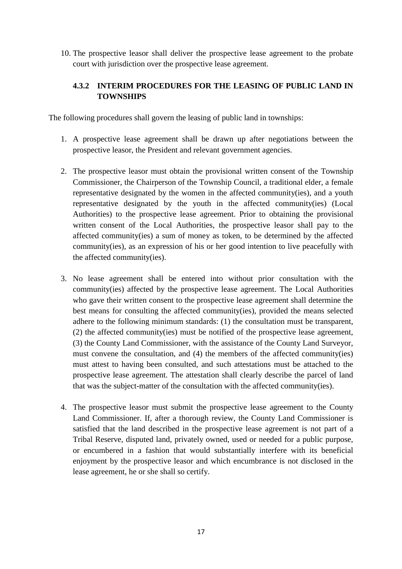10. The prospective leasor shall deliver the prospective lease agreement to the probate court with jurisdiction over the prospective lease agreement.

#### <span id="page-18-0"></span>**4.3.2 INTERIM PROCEDURES FOR THE LEASING OF PUBLIC LAND IN TOWNSHIPS**

The following procedures shall govern the leasing of public land in townships:

- 1. A prospective lease agreement shall be drawn up after negotiations between the prospective leasor, the President and relevant government agencies.
- 2. The prospective leasor must obtain the provisional written consent of the Township Commissioner, the Chairperson of the Township Council, a traditional elder, a female representative designated by the women in the affected community(ies), and a youth representative designated by the youth in the affected community(ies) (Local Authorities) to the prospective lease agreement. Prior to obtaining the provisional written consent of the Local Authorities, the prospective leasor shall pay to the affected community(ies) a sum of money as token, to be determined by the affected community(ies), as an expression of his or her good intention to live peacefully with the affected community(ies).
- 3. No lease agreement shall be entered into without prior consultation with the community(ies) affected by the prospective lease agreement. The Local Authorities who gave their written consent to the prospective lease agreement shall determine the best means for consulting the affected community(ies), provided the means selected adhere to the following minimum standards: (1) the consultation must be transparent, (2) the affected community(ies) must be notified of the prospective lease agreement, (3) the County Land Commissioner, with the assistance of the County Land Surveyor, must convene the consultation, and (4) the members of the affected community(ies) must attest to having been consulted, and such attestations must be attached to the prospective lease agreement. The attestation shall clearly describe the parcel of land that was the subject-matter of the consultation with the affected community(ies).
- 4. The prospective leasor must submit the prospective lease agreement to the County Land Commissioner. If, after a thorough review, the County Land Commissioner is satisfied that the land described in the prospective lease agreement is not part of a Tribal Reserve, disputed land, privately owned, used or needed for a public purpose, or encumbered in a fashion that would substantially interfere with its beneficial enjoyment by the prospective leasor and which encumbrance is not disclosed in the lease agreement, he or she shall so certify.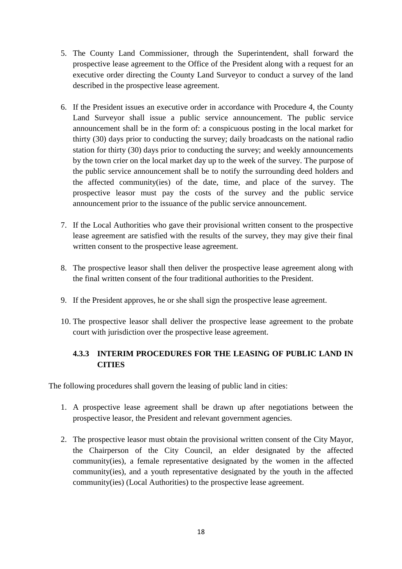- 5. The County Land Commissioner, through the Superintendent, shall forward the prospective lease agreement to the Office of the President along with a request for an executive order directing the County Land Surveyor to conduct a survey of the land described in the prospective lease agreement.
- 6. If the President issues an executive order in accordance with Procedure 4, the County Land Surveyor shall issue a public service announcement. The public service announcement shall be in the form of: a conspicuous posting in the local market for thirty (30) days prior to conducting the survey; daily broadcasts on the national radio station for thirty (30) days prior to conducting the survey; and weekly announcements by the town crier on the local market day up to the week of the survey. The purpose of the public service announcement shall be to notify the surrounding deed holders and the affected community(ies) of the date, time, and place of the survey. The prospective leasor must pay the costs of the survey and the public service announcement prior to the issuance of the public service announcement.
- 7. If the Local Authorities who gave their provisional written consent to the prospective lease agreement are satisfied with the results of the survey, they may give their final written consent to the prospective lease agreement.
- 8. The prospective leasor shall then deliver the prospective lease agreement along with the final written consent of the four traditional authorities to the President.
- 9. If the President approves, he or she shall sign the prospective lease agreement.
- 10. The prospective leasor shall deliver the prospective lease agreement to the probate court with jurisdiction over the prospective lease agreement.

#### <span id="page-19-0"></span>**4.3.3 INTERIM PROCEDURES FOR THE LEASING OF PUBLIC LAND IN CITIES**

The following procedures shall govern the leasing of public land in cities:

- 1. A prospective lease agreement shall be drawn up after negotiations between the prospective leasor, the President and relevant government agencies.
- 2. The prospective leasor must obtain the provisional written consent of the City Mayor, the Chairperson of the City Council, an elder designated by the affected community(ies), a female representative designated by the women in the affected community(ies), and a youth representative designated by the youth in the affected community(ies) (Local Authorities) to the prospective lease agreement.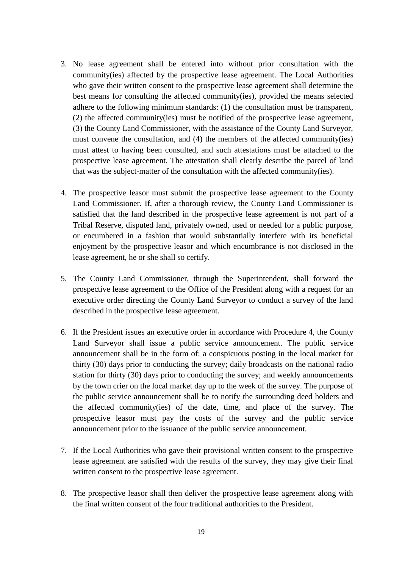- 3. No lease agreement shall be entered into without prior consultation with the community(ies) affected by the prospective lease agreement. The Local Authorities who gave their written consent to the prospective lease agreement shall determine the best means for consulting the affected community(ies), provided the means selected adhere to the following minimum standards: (1) the consultation must be transparent, (2) the affected community(ies) must be notified of the prospective lease agreement, (3) the County Land Commissioner, with the assistance of the County Land Surveyor, must convene the consultation, and (4) the members of the affected community(ies) must attest to having been consulted, and such attestations must be attached to the prospective lease agreement. The attestation shall clearly describe the parcel of land that was the subject-matter of the consultation with the affected community(ies).
- 4. The prospective leasor must submit the prospective lease agreement to the County Land Commissioner. If, after a thorough review, the County Land Commissioner is satisfied that the land described in the prospective lease agreement is not part of a Tribal Reserve, disputed land, privately owned, used or needed for a public purpose, or encumbered in a fashion that would substantially interfere with its beneficial enjoyment by the prospective leasor and which encumbrance is not disclosed in the lease agreement, he or she shall so certify.
- 5. The County Land Commissioner, through the Superintendent, shall forward the prospective lease agreement to the Office of the President along with a request for an executive order directing the County Land Surveyor to conduct a survey of the land described in the prospective lease agreement.
- 6. If the President issues an executive order in accordance with Procedure 4, the County Land Surveyor shall issue a public service announcement. The public service announcement shall be in the form of: a conspicuous posting in the local market for thirty (30) days prior to conducting the survey; daily broadcasts on the national radio station for thirty (30) days prior to conducting the survey; and weekly announcements by the town crier on the local market day up to the week of the survey. The purpose of the public service announcement shall be to notify the surrounding deed holders and the affected community(ies) of the date, time, and place of the survey. The prospective leasor must pay the costs of the survey and the public service announcement prior to the issuance of the public service announcement.
- 7. If the Local Authorities who gave their provisional written consent to the prospective lease agreement are satisfied with the results of the survey, they may give their final written consent to the prospective lease agreement.
- 8. The prospective leasor shall then deliver the prospective lease agreement along with the final written consent of the four traditional authorities to the President.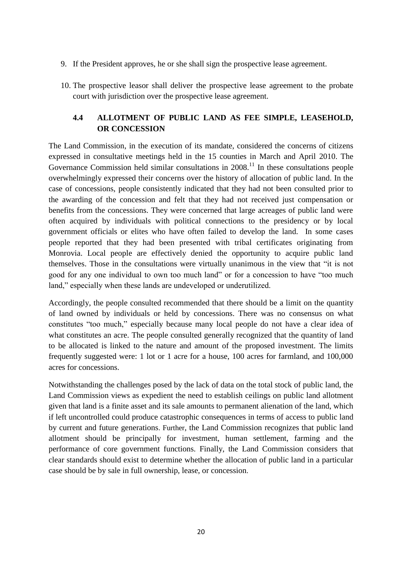- 9. If the President approves, he or she shall sign the prospective lease agreement.
- 10. The prospective leasor shall deliver the prospective lease agreement to the probate court with jurisdiction over the prospective lease agreement.

#### <span id="page-21-0"></span>**4.4 ALLOTMENT OF PUBLIC LAND AS FEE SIMPLE, LEASEHOLD, OR CONCESSION**

The Land Commission, in the execution of its mandate, considered the concerns of citizens expressed in consultative meetings held in the 15 counties in March and April 2010. The Governance Commission held similar consultations in  $2008<sup>11</sup>$  In these consultations people overwhelmingly expressed their concerns over the history of allocation of public land. In the case of concessions, people consistently indicated that they had not been consulted prior to the awarding of the concession and felt that they had not received just compensation or benefits from the concessions. They were concerned that large acreages of public land were often acquired by individuals with political connections to the presidency or by local government officials or elites who have often failed to develop the land. In some cases people reported that they had been presented with tribal certificates originating from Monrovia. Local people are effectively denied the opportunity to acquire public land themselves. Those in the consultations were virtually unanimous in the view that "it is not good for any one individual to own too much land" or for a concession to have "too much land," especially when these lands are undeveloped or underutilized.

Accordingly, the people consulted recommended that there should be a limit on the quantity of land owned by individuals or held by concessions. There was no consensus on what constitutes "too much," especially because many local people do not have a clear idea of what constitutes an acre. The people consulted generally recognized that the quantity of land to be allocated is linked to the nature and amount of the proposed investment. The limits frequently suggested were: 1 lot or 1 acre for a house, 100 acres for farmland, and 100,000 acres for concessions.

Notwithstanding the challenges posed by the lack of data on the total stock of public land, the Land Commission views as expedient the need to establish ceilings on public land allotment given that land is a finite asset and its sale amounts to permanent alienation of the land, which if left uncontrolled could produce catastrophic consequences in terms of access to public land by current and future generations. Further, the Land Commission recognizes that public land allotment should be principally for investment, human settlement, farming and the performance of core government functions. Finally, the Land Commission considers that clear standards should exist to determine whether the allocation of public land in a particular case should be by sale in full ownership, lease, or concession.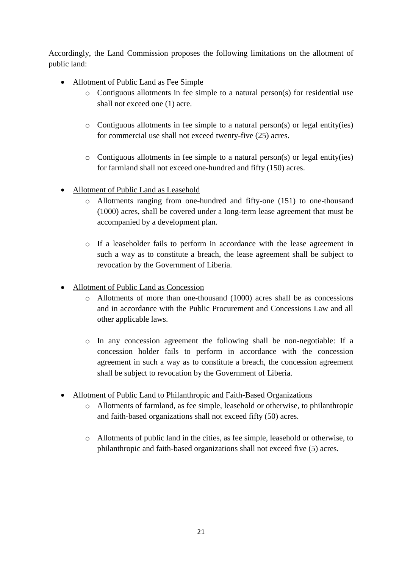Accordingly, the Land Commission proposes the following limitations on the allotment of public land:

- Allotment of Public Land as Fee Simple
	- o Contiguous allotments in fee simple to a natural person(s) for residential use shall not exceed one (1) acre.
	- $\circ$  Contiguous allotments in fee simple to a natural person(s) or legal entity(ies) for commercial use shall not exceed twenty-five (25) acres.
	- o Contiguous allotments in fee simple to a natural person(s) or legal entity(ies) for farmland shall not exceed one-hundred and fifty (150) acres.
- Allotment of Public Land as Leasehold
	- o Allotments ranging from one-hundred and fifty-one (151) to one-thousand (1000) acres, shall be covered under a long-term lease agreement that must be accompanied by a development plan.
	- o If a leaseholder fails to perform in accordance with the lease agreement in such a way as to constitute a breach, the lease agreement shall be subject to revocation by the Government of Liberia.
- Allotment of Public Land as Concession
	- o Allotments of more than one-thousand (1000) acres shall be as concessions and in accordance with the Public Procurement and Concessions Law and all other applicable laws.
	- o In any concession agreement the following shall be non-negotiable: If a concession holder fails to perform in accordance with the concession agreement in such a way as to constitute a breach, the concession agreement shall be subject to revocation by the Government of Liberia.
- Allotment of Public Land to Philanthropic and Faith-Based Organizations
	- o Allotments of farmland, as fee simple, leasehold or otherwise, to philanthropic and faith-based organizations shall not exceed fifty (50) acres.
	- o Allotments of public land in the cities, as fee simple, leasehold or otherwise, to philanthropic and faith-based organizations shall not exceed five (5) acres.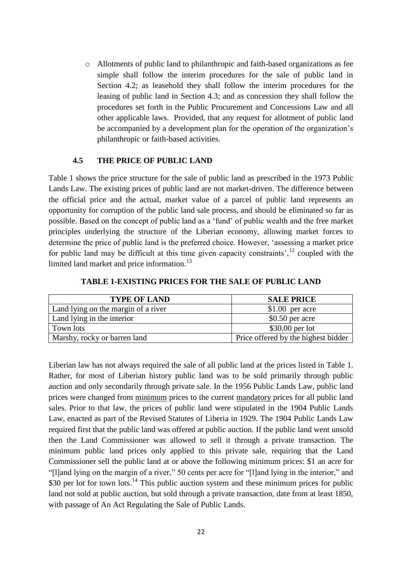o Allotments of public land to philanthropic and faith-based organizations as fee simple shall follow the interim procedures for the sale of public land in Section 4.2; as leasehold they shall follow the interim procedures for the leasing of public land in Section 4.3; and as concession they shall follow the procedures set forth in the Public Procurement and Concessions Law and all other applicable laws. Provided, that any request for allotment of public land be accompanied by a development plan for the operation of the organization's philanthropic or faith-based activities.

#### **4.5 THE PRICE OF PUBLIC LAND**

<span id="page-23-0"></span>Table 1 shows the price structure for the sale of public land as prescribed in the 1973 Public Lands Law. The existing prices of public land are not market-driven. The difference between the official price and the actual, market value of a parcel of public land represents an opportunity for corruption of the public land sale process, and should be eliminated so far as possible. Based on the concept of public land as a "fund" of public wealth and the free market principles underlying the structure of the Liberian economy, allowing market forces to determine the price of public land is the preferred choice. However, "assessing a market price for public land may be difficult at this time given capacity constraints',  $^{12}$  coupled with the limited land market and price information.<sup>13</sup>

| <b>TYPE OF LAND</b>                 | <b>SALE PRICE</b>                   |
|-------------------------------------|-------------------------------------|
| Land lying on the margin of a river | $$1.00$ per acre                    |
| Land lying in the interior          | $$0.50$ per acre                    |
| Town lots                           | $$30.00$ per lot                    |
| Marshy, rocky or barren land        | Price offered by the highest bidder |

**TABLE 1-EXISTING PRICES FOR THE SALE OF PUBLIC LAND**

Liberian law has not always required the sale of all public land at the prices listed in Table 1. Rather, for most of Liberian history public land was to be sold primarily through public auction and only secondarily through private sale. In the 1956 Public Lands Law, public land prices were changed from minimum prices to the current mandatory prices for all public land sales. Prior to that law, the prices of public land were stipulated in the 1904 Public Lands Law, enacted as part of the Revised Statutes of Liberia in 1929. The 1904 Public Lands Law required first that the public land was offered at public auction. If the public land went unsold then the Land Commissioner was allowed to sell it through a private transaction. The minimum public land prices only applied to this private sale, requiring that the Land Commissioner sell the public land at or above the following minimum prices: \$1 an acre for "[l]and lying on the margin of a river," 50 cents per acre for "[l]and lying in the interior," and \$30 per lot for town lots.<sup>14</sup> This public auction system and these minimum prices for public land not sold at public auction, but sold through a private transaction, date from at least 1850, with passage of An Act Regulating the Sale of Public Lands.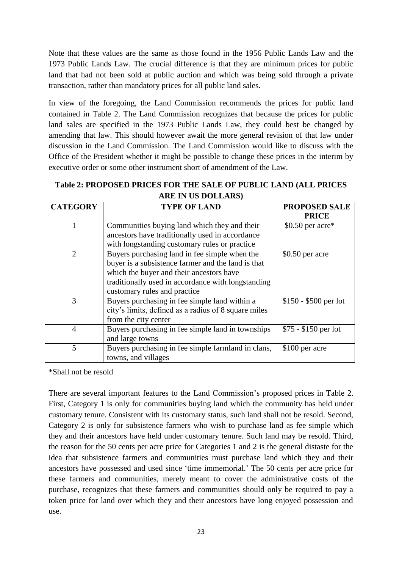Note that these values are the same as those found in the 1956 Public Lands Law and the 1973 Public Lands Law. The crucial difference is that they are minimum prices for public land that had not been sold at public auction and which was being sold through a private transaction, rather than mandatory prices for all public land sales.

In view of the foregoing, the Land Commission recommends the prices for public land contained in Table 2. The Land Commission recognizes that because the prices for public land sales are specified in the 1973 Public Lands Law, they could best be changed by amending that law. This should however await the more general revision of that law under discussion in the Land Commission. The Land Commission would like to discuss with the Office of the President whether it might be possible to change these prices in the interim by executive order or some other instrument short of amendment of the Law.

#### **Table 2: PROPOSED PRICES FOR THE SALE OF PUBLIC LAND (ALL PRICES ARE IN US DOLLARS)**

| <b>CATEGORY</b> | <b>TYPE OF LAND</b>                                  | <b>PROPOSED SALE</b>  |
|-----------------|------------------------------------------------------|-----------------------|
|                 |                                                      | <b>PRICE</b>          |
|                 | Communities buying land which they and their         | $$0.50$ per acre*     |
|                 | ancestors have traditionally used in accordance      |                       |
|                 | with longstanding customary rules or practice        |                       |
| $\overline{2}$  | Buyers purchasing land in fee simple when the        | $$0.50$ per acre      |
|                 | buyer is a subsistence farmer and the land is that   |                       |
|                 | which the buyer and their ancestors have             |                       |
|                 | traditionally used in accordance with longstanding   |                       |
|                 | customary rules and practice                         |                       |
| 3               | Buyers purchasing in fee simple land within a        | $$150 - $500$ per lot |
|                 | city's limits, defined as a radius of 8 square miles |                       |
|                 | from the city center                                 |                       |
| $\overline{4}$  | Buyers purchasing in fee simple land in townships    | $$75 - $150$ per lot  |
|                 | and large towns                                      |                       |
| 5               | Buyers purchasing in fee simple farmland in clans,   | \$100 per acre        |
|                 | towns, and villages                                  |                       |

\*Shall not be resold

There are several important features to the Land Commission"s proposed prices in Table 2. First, Category 1 is only for communities buying land which the community has held under customary tenure. Consistent with its customary status, such land shall not be resold. Second, Category 2 is only for subsistence farmers who wish to purchase land as fee simple which they and their ancestors have held under customary tenure. Such land may be resold. Third, the reason for the 50 cents per acre price for Categories 1 and 2 is the general distaste for the idea that subsistence farmers and communities must purchase land which they and their ancestors have possessed and used since "time immemorial." The 50 cents per acre price for these farmers and communities, merely meant to cover the administrative costs of the purchase, recognizes that these farmers and communities should only be required to pay a token price for land over which they and their ancestors have long enjoyed possession and use.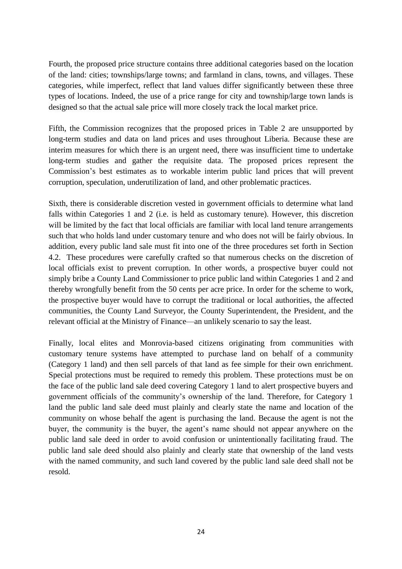Fourth, the proposed price structure contains three additional categories based on the location of the land: cities; townships/large towns; and farmland in clans, towns, and villages. These categories, while imperfect, reflect that land values differ significantly between these three types of locations. Indeed, the use of a price range for city and township/large town lands is designed so that the actual sale price will more closely track the local market price.

Fifth, the Commission recognizes that the proposed prices in Table 2 are unsupported by long-term studies and data on land prices and uses throughout Liberia. Because these are interim measures for which there is an urgent need, there was insufficient time to undertake long-term studies and gather the requisite data. The proposed prices represent the Commission"s best estimates as to workable interim public land prices that will prevent corruption, speculation, underutilization of land, and other problematic practices.

Sixth, there is considerable discretion vested in government officials to determine what land falls within Categories 1 and 2 (i.e. is held as customary tenure). However, this discretion will be limited by the fact that local officials are familiar with local land tenure arrangements such that who holds land under customary tenure and who does not will be fairly obvious. In addition, every public land sale must fit into one of the three procedures set forth in Section 4.2. These procedures were carefully crafted so that numerous checks on the discretion of local officials exist to prevent corruption. In other words, a prospective buyer could not simply bribe a County Land Commissioner to price public land within Categories 1 and 2 and thereby wrongfully benefit from the 50 cents per acre price. In order for the scheme to work, the prospective buyer would have to corrupt the traditional or local authorities, the affected communities, the County Land Surveyor, the County Superintendent, the President, and the relevant official at the Ministry of Finance—an unlikely scenario to say the least.

Finally, local elites and Monrovia-based citizens originating from communities with customary tenure systems have attempted to purchase land on behalf of a community (Category 1 land) and then sell parcels of that land as fee simple for their own enrichment. Special protections must be required to remedy this problem. These protections must be on the face of the public land sale deed covering Category 1 land to alert prospective buyers and government officials of the community"s ownership of the land. Therefore, for Category 1 land the public land sale deed must plainly and clearly state the name and location of the community on whose behalf the agent is purchasing the land. Because the agent is not the buyer, the community is the buyer, the agent's name should not appear anywhere on the public land sale deed in order to avoid confusion or unintentionally facilitating fraud. The public land sale deed should also plainly and clearly state that ownership of the land vests with the named community, and such land covered by the public land sale deed shall not be resold.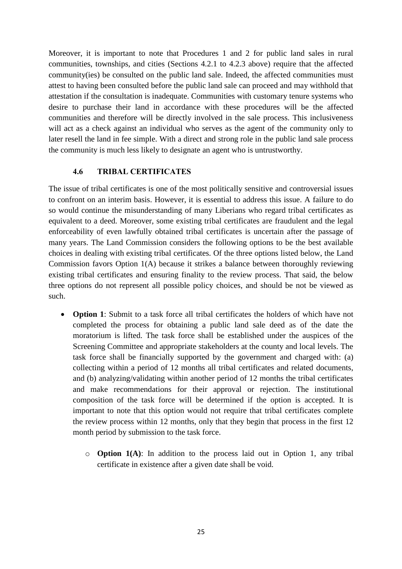Moreover, it is important to note that Procedures 1 and 2 for public land sales in rural communities, townships, and cities (Sections 4.2.1 to 4.2.3 above) require that the affected community(ies) be consulted on the public land sale. Indeed, the affected communities must attest to having been consulted before the public land sale can proceed and may withhold that attestation if the consultation is inadequate. Communities with customary tenure systems who desire to purchase their land in accordance with these procedures will be the affected communities and therefore will be directly involved in the sale process. This inclusiveness will act as a check against an individual who serves as the agent of the community only to later resell the land in fee simple. With a direct and strong role in the public land sale process the community is much less likely to designate an agent who is untrustworthy.

#### **4.6 TRIBAL CERTIFICATES**

<span id="page-26-0"></span>The issue of tribal certificates is one of the most politically sensitive and controversial issues to confront on an interim basis. However, it is essential to address this issue. A failure to do so would continue the misunderstanding of many Liberians who regard tribal certificates as equivalent to a deed. Moreover, some existing tribal certificates are fraudulent and the legal enforceability of even lawfully obtained tribal certificates is uncertain after the passage of many years. The Land Commission considers the following options to be the best available choices in dealing with existing tribal certificates. Of the three options listed below, the Land Commission favors Option 1(A) because it strikes a balance between thoroughly reviewing existing tribal certificates and ensuring finality to the review process. That said, the below three options do not represent all possible policy choices, and should be not be viewed as such.

- **Option 1**: Submit to a task force all tribal certificates the holders of which have not completed the process for obtaining a public land sale deed as of the date the moratorium is lifted. The task force shall be established under the auspices of the Screening Committee and appropriate stakeholders at the county and local levels. The task force shall be financially supported by the government and charged with: (a) collecting within a period of 12 months all tribal certificates and related documents, and (b) analyzing/validating within another period of 12 months the tribal certificates and make recommendations for their approval or rejection. The institutional composition of the task force will be determined if the option is accepted. It is important to note that this option would not require that tribal certificates complete the review process within 12 months, only that they begin that process in the first 12 month period by submission to the task force.
	- o **Option 1(A)**: In addition to the process laid out in Option 1, any tribal certificate in existence after a given date shall be void.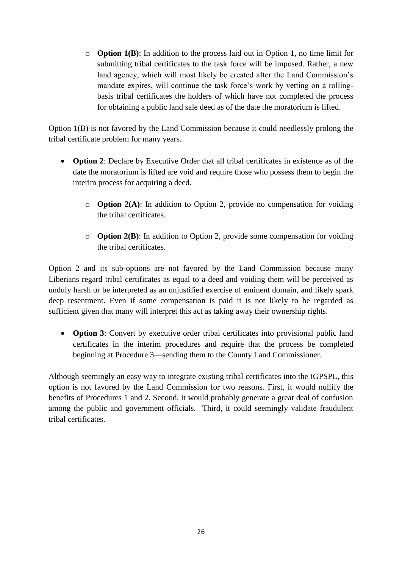o **Option 1(B)**: In addition to the process laid out in Option 1, no time limit for submitting tribal certificates to the task force will be imposed. Rather, a new land agency, which will most likely be created after the Land Commission's mandate expires, will continue the task force's work by vetting on a rollingbasis tribal certificates the holders of which have not completed the process for obtaining a public land sale deed as of the date the moratorium is lifted.

Option 1(B) is not favored by the Land Commission because it could needlessly prolong the tribal certificate problem for many years.

- **Option 2**: Declare by Executive Order that all tribal certificates in existence as of the date the moratorium is lifted are void and require those who possess them to begin the interim process for acquiring a deed.
	- o **Option 2(A)**: In addition to Option 2, provide no compensation for voiding the tribal certificates.
	- o **Option 2(B)**: In addition to Option 2, provide some compensation for voiding the tribal certificates.

Option 2 and its sub-options are not favored by the Land Commission because many Liberians regard tribal certificates as equal to a deed and voiding them will be perceived as unduly harsh or be interpreted as an unjustified exercise of eminent domain, and likely spark deep resentment. Even if some compensation is paid it is not likely to be regarded as sufficient given that many will interpret this act as taking away their ownership rights.

• **Option 3**: Convert by executive order tribal certificates into provisional public land certificates in the interim procedures and require that the process be completed beginning at Procedure 3—sending them to the County Land Commissioner.

Although seemingly an easy way to integrate existing tribal certificates into the IGPSPL, this option is not favored by the Land Commission for two reasons. First, it would nullify the benefits of Procedures 1 and 2. Second, it would probably generate a great deal of confusion among the public and government officials. Third, it could seemingly validate fraudulent tribal certificates.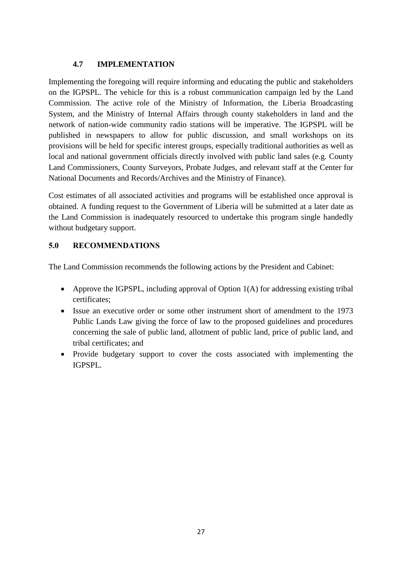#### **4.7 IMPLEMENTATION**

<span id="page-28-0"></span>Implementing the foregoing will require informing and educating the public and stakeholders on the IGPSPL. The vehicle for this is a robust communication campaign led by the Land Commission. The active role of the Ministry of Information, the Liberia Broadcasting System, and the Ministry of Internal Affairs through county stakeholders in land and the network of nation-wide community radio stations will be imperative. The IGPSPL will be published in newspapers to allow for public discussion, and small workshops on its provisions will be held for specific interest groups, especially traditional authorities as well as local and national government officials directly involved with public land sales (e.g. County Land Commissioners, County Surveyors, Probate Judges, and relevant staff at the Center for National Documents and Records/Archives and the Ministry of Finance).

Cost estimates of all associated activities and programs will be established once approval is obtained. A funding request to the Government of Liberia will be submitted at a later date as the Land Commission is inadequately resourced to undertake this program single handedly without budgetary support.

#### <span id="page-28-1"></span>**5.0 RECOMMENDATIONS**

The Land Commission recommends the following actions by the President and Cabinet:

- Approve the IGPSPL, including approval of Option  $1(A)$  for addressing existing tribal certificates;
- Issue an executive order or some other instrument short of amendment to the 1973 Public Lands Law giving the force of law to the proposed guidelines and procedures concerning the sale of public land, allotment of public land, price of public land, and tribal certificates; and
- Provide budgetary support to cover the costs associated with implementing the IGPSPL.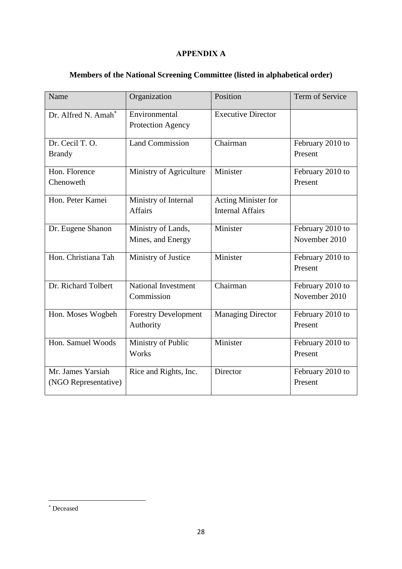#### **APPENDIX A**

<span id="page-29-0"></span>

|  |  | Members of the National Screening Committee (listed in alphabetical order) |
|--|--|----------------------------------------------------------------------------|
|  |  |                                                                            |
|  |  |                                                                            |
|  |  |                                                                            |

| Name                                      | Organization                             | Position                                       | Term of Service                   |
|-------------------------------------------|------------------------------------------|------------------------------------------------|-----------------------------------|
| Dr. Alfred N. Amah*                       | Environmental<br>Protection Agency       | <b>Executive Director</b>                      |                                   |
| Dr. Cecil T.O.<br><b>Brandy</b>           | <b>Land Commission</b>                   | Chairman                                       | February 2010 to<br>Present       |
| Hon. Florence<br>Chenoweth                | Ministry of Agriculture                  | Minister                                       | February 2010 to<br>Present       |
| Hon. Peter Kamei                          | Ministry of Internal<br><b>Affairs</b>   | Acting Minister for<br><b>Internal Affairs</b> |                                   |
| Dr. Eugene Shanon                         | Ministry of Lands,<br>Mines, and Energy  | Minister                                       | February 2010 to<br>November 2010 |
| Hon. Christiana Tah                       | Ministry of Justice                      | Minister                                       | February 2010 to<br>Present       |
| Dr. Richard Tolbert                       | <b>National Investment</b><br>Commission | Chairman                                       | February 2010 to<br>November 2010 |
| Hon. Moses Wogbeh                         | <b>Forestry Development</b><br>Authority | <b>Managing Director</b>                       | February 2010 to<br>Present       |
| Hon. Samuel Woods                         | Ministry of Public<br>Works              | Minister                                       | February 2010 to<br>Present       |
| Mr. James Yarsiah<br>(NGO Representative) | Rice and Rights, Inc.                    | Director                                       | February 2010 to<br>Present       |

1

Deceased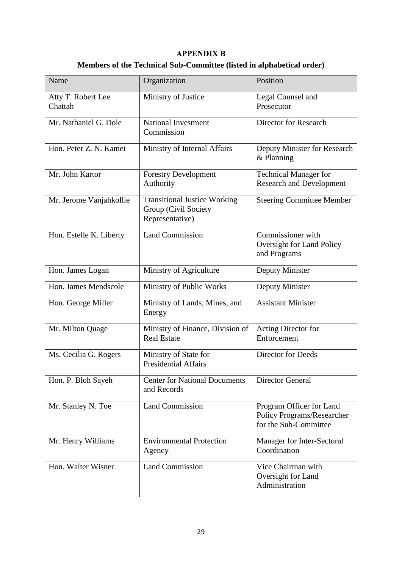#### **APPENDIX B**

# **Members of the Technical Sub-Committee (listed in alphabetical order)**

<span id="page-30-0"></span>

| Name                          | Organization                                                                   | Position                                                                        |
|-------------------------------|--------------------------------------------------------------------------------|---------------------------------------------------------------------------------|
| Atty T. Robert Lee<br>Chattah | Ministry of Justice                                                            | Legal Counsel and<br>Prosecutor                                                 |
| Mr. Nathaniel G. Dole         | National Investment<br>Commission                                              | <b>Director for Research</b>                                                    |
| Hon. Peter Z. N. Kamei        | Ministry of Internal Affairs                                                   | Deputy Minister for Research<br>& Planning                                      |
| Mr. John Kartor               | <b>Forestry Development</b><br>Authority                                       | <b>Technical Manager for</b><br><b>Research and Development</b>                 |
| Mr. Jerome Vanjahkollie       | <b>Transitional Justice Working</b><br>Group (Civil Society<br>Representative) | <b>Steering Committee Member</b>                                                |
| Hon. Estelle K. Liberty       | <b>Land Commission</b>                                                         | Commissioner with<br><b>Oversight for Land Policy</b><br>and Programs           |
| Hon. James Logan              | Ministry of Agriculture                                                        | Deputy Minister                                                                 |
| Hon. James Mendscole          | Ministry of Public Works                                                       | Deputy Minister                                                                 |
| Hon. George Miller            | Ministry of Lands, Mines, and<br>Energy                                        | <b>Assistant Minister</b>                                                       |
| Mr. Milton Quage              | Ministry of Finance, Division of<br><b>Real Estate</b>                         | Acting Director for<br>Enforcement                                              |
| Ms. Cecilia G. Rogers         | Ministry of State for<br><b>Presidential Affairs</b>                           | <b>Director for Deeds</b>                                                       |
| Hon. P. Bloh Sayeh            | <b>Center for National Documents</b><br>and Records                            | <b>Director General</b>                                                         |
| Mr. Stanley N. Toe            | <b>Land Commission</b>                                                         | Program Officer for Land<br>Policy Programs/Researcher<br>for the Sub-Committee |
| Mr. Henry Williams            | <b>Environmental Protection</b><br>Agency                                      | Manager for Inter-Sectoral<br>Coordination                                      |
| Hon. Walter Wisner            | <b>Land Commission</b>                                                         | Vice Chairman with<br>Oversight for Land<br>Administration                      |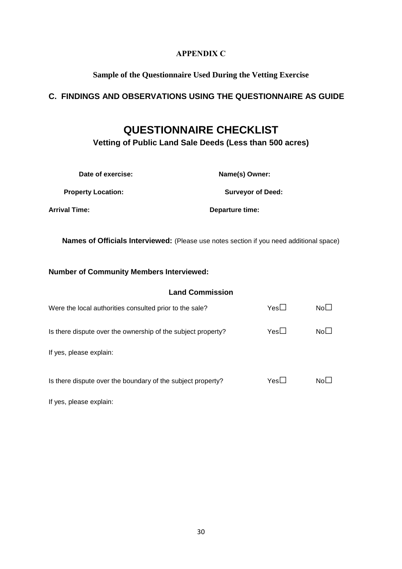#### **APPENDIX C**

#### **Sample of the Questionnaire Used During the Vetting Exercise**

#### <span id="page-31-0"></span>**C. FINDINGS AND OBSERVATIONS USING THE QUESTIONNAIRE AS GUIDE**

# **QUESTIONNAIRE CHECKLIST**

**Vetting of Public Land Sale Deeds (Less than 500 acres)**

| Date of exercise:         | Name(s) Owner:           |
|---------------------------|--------------------------|
| <b>Property Location:</b> | <b>Surveyor of Deed:</b> |
| Arrival Time:             | Departure time:          |

**Names of Officials Interviewed:** (Please use notes section if you need additional space)

#### **Number of Community Members Interviewed:**

| <b>Land Commission</b>                                       |            |                 |
|--------------------------------------------------------------|------------|-----------------|
| Were the local authorities consulted prior to the sale?      | Yes        | NoL             |
| Is there dispute over the ownership of the subject property? | Yes        | No <sub>1</sub> |
| If yes, please explain:                                      |            |                 |
| Is there dispute over the boundary of the subject property?  | $Yes \Box$ | Nol             |

If yes, please explain: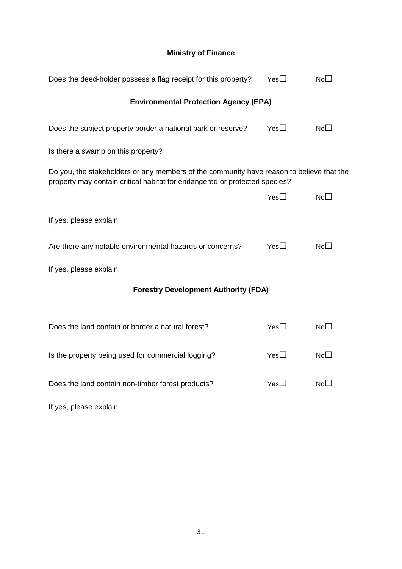### **Ministry of Finance**

| Does the deed-holder possess a flag receipt for this property?                                                                                                         | $Yes\square$                                 | No <sub>1</sub> |  |  |
|------------------------------------------------------------------------------------------------------------------------------------------------------------------------|----------------------------------------------|-----------------|--|--|
|                                                                                                                                                                        | <b>Environmental Protection Agency (EPA)</b> |                 |  |  |
| Does the subject property border a national park or reserve?                                                                                                           | Yes $\Box$                                   | $No\square$     |  |  |
| Is there a swamp on this property?                                                                                                                                     |                                              |                 |  |  |
| Do you, the stakeholders or any members of the community have reason to believe that the<br>property may contain critical habitat for endangered or protected species? |                                              |                 |  |  |
|                                                                                                                                                                        | Yes $\Box$                                   | No <sub>1</sub> |  |  |
| If yes, please explain.                                                                                                                                                |                                              |                 |  |  |
| Are there any notable environmental hazards or concerns?                                                                                                               | $Yes \Box$                                   | No <sub>1</sub> |  |  |
| If yes, please explain.                                                                                                                                                |                                              |                 |  |  |
| <b>Forestry Development Authority (FDA)</b>                                                                                                                            |                                              |                 |  |  |
| Does the land contain or border a natural forest?                                                                                                                      | Yes $\Box$                                   | No <sub>1</sub> |  |  |
|                                                                                                                                                                        |                                              |                 |  |  |
| Is the property being used for commercial logging?                                                                                                                     | Yes $\Box$                                   | No <sub>1</sub> |  |  |
| Does the land contain non-timber forest products?                                                                                                                      | $Yes\square$                                 | No <sub>1</sub> |  |  |

If yes, please explain.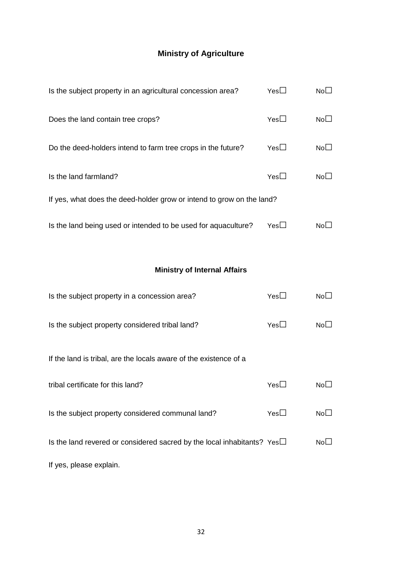# **Ministry of Agriculture**

| Is the subject property in an agricultural concession area?           | $Yes\square$ | NoL             |
|-----------------------------------------------------------------------|--------------|-----------------|
| Does the land contain tree crops?                                     | $Yes\square$ | No <sub>1</sub> |
| Do the deed-holders intend to farm tree crops in the future?          | Yes          | NoL             |
| Is the land farmland?                                                 | Yes          | NoL_            |
| If yes, what does the deed-holder grow or intend to grow on the land? |              |                 |
| Is the land being used or intended to be used for aquaculture?        | Yes∐         | NoL_            |

#### **Ministry of Internal Affairs**

| Is the subject property in a concession area?                                 | YesL         | No <sub>1</sub> |
|-------------------------------------------------------------------------------|--------------|-----------------|
| Is the subject property considered tribal land?                               | $Yes\square$ | No <sub>1</sub> |
| If the land is tribal, are the locals aware of the existence of a             |              |                 |
| tribal certificate for this land?                                             | Yes $\Box$   | No <sub>1</sub> |
| Is the subject property considered communal land?                             | Yes $\Box$   | No <sub>1</sub> |
| Is the land revered or considered sacred by the local inhabitants? Yes $\Box$ |              | No <sub>1</sub> |
| If yes, please explain.                                                       |              |                 |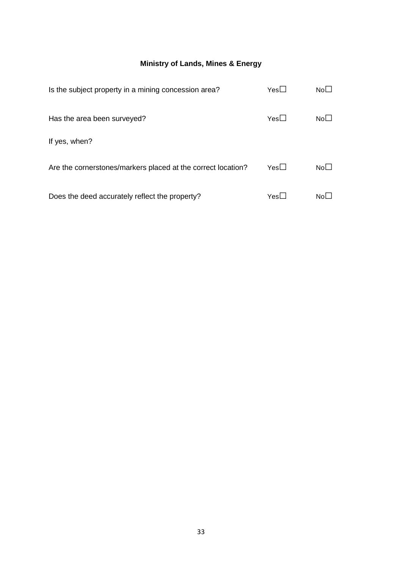#### **Ministry of Lands, Mines & Energy**

| Is the subject property in a mining concession area?         | $Yes\square$ | NoL             |
|--------------------------------------------------------------|--------------|-----------------|
| Has the area been surveyed?                                  | $Yes\square$ | No $\sqcup$     |
| If yes, when?                                                |              |                 |
| Are the cornerstones/markers placed at the correct location? | Yes $\Box$   | No <sub>1</sub> |
| Does the deed accurately reflect the property?               | $Yes \Box$   | Nol             |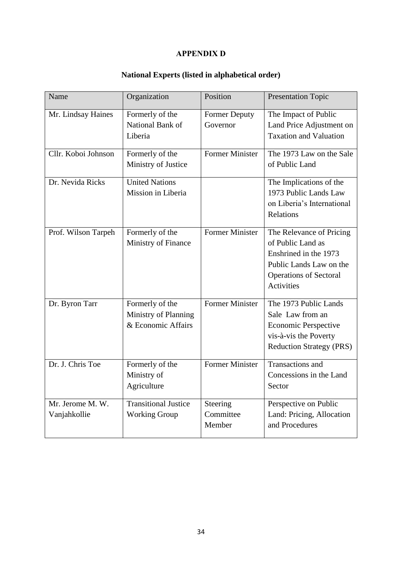#### **APPENDIX D**

# **National Experts (listed in alphabetical order)**

<span id="page-35-0"></span>

| Name                             | Organization                                                  | Position                         | <b>Presentation Topic</b>                                                                                                                               |
|----------------------------------|---------------------------------------------------------------|----------------------------------|---------------------------------------------------------------------------------------------------------------------------------------------------------|
| Mr. Lindsay Haines               | Formerly of the<br>National Bank of<br>Liberia                | <b>Former Deputy</b><br>Governor | The Impact of Public<br>Land Price Adjustment on<br><b>Taxation and Valuation</b>                                                                       |
| Cllr. Koboi Johnson              | Formerly of the<br>Ministry of Justice                        | Former Minister                  | The 1973 Law on the Sale<br>of Public Land                                                                                                              |
| Dr. Nevida Ricks                 | <b>United Nations</b><br>Mission in Liberia                   |                                  | The Implications of the<br>1973 Public Lands Law<br>on Liberia's International<br>Relations                                                             |
| Prof. Wilson Tarpeh              | Formerly of the<br>Ministry of Finance                        | <b>Former Minister</b>           | The Relevance of Pricing<br>of Public Land as<br>Enshrined in the 1973<br>Public Lands Law on the<br><b>Operations of Sectoral</b><br><b>Activities</b> |
| Dr. Byron Tarr                   | Formerly of the<br>Ministry of Planning<br>& Economic Affairs | <b>Former Minister</b>           | The 1973 Public Lands<br>Sale Law from an<br>Economic Perspective<br>vis-à-vis the Poverty<br><b>Reduction Strategy (PRS)</b>                           |
| Dr. J. Chris Toe                 | Formerly of the<br>Ministry of<br>Agriculture                 | <b>Former Minister</b>           | <b>Transactions</b> and<br>Concessions in the Land<br>Sector                                                                                            |
| Mr. Jerome M. W.<br>Vanjahkollie | <b>Transitional Justice</b><br><b>Working Group</b>           | Steering<br>Committee<br>Member  | Perspective on Public<br>Land: Pricing, Allocation<br>and Procedures                                                                                    |